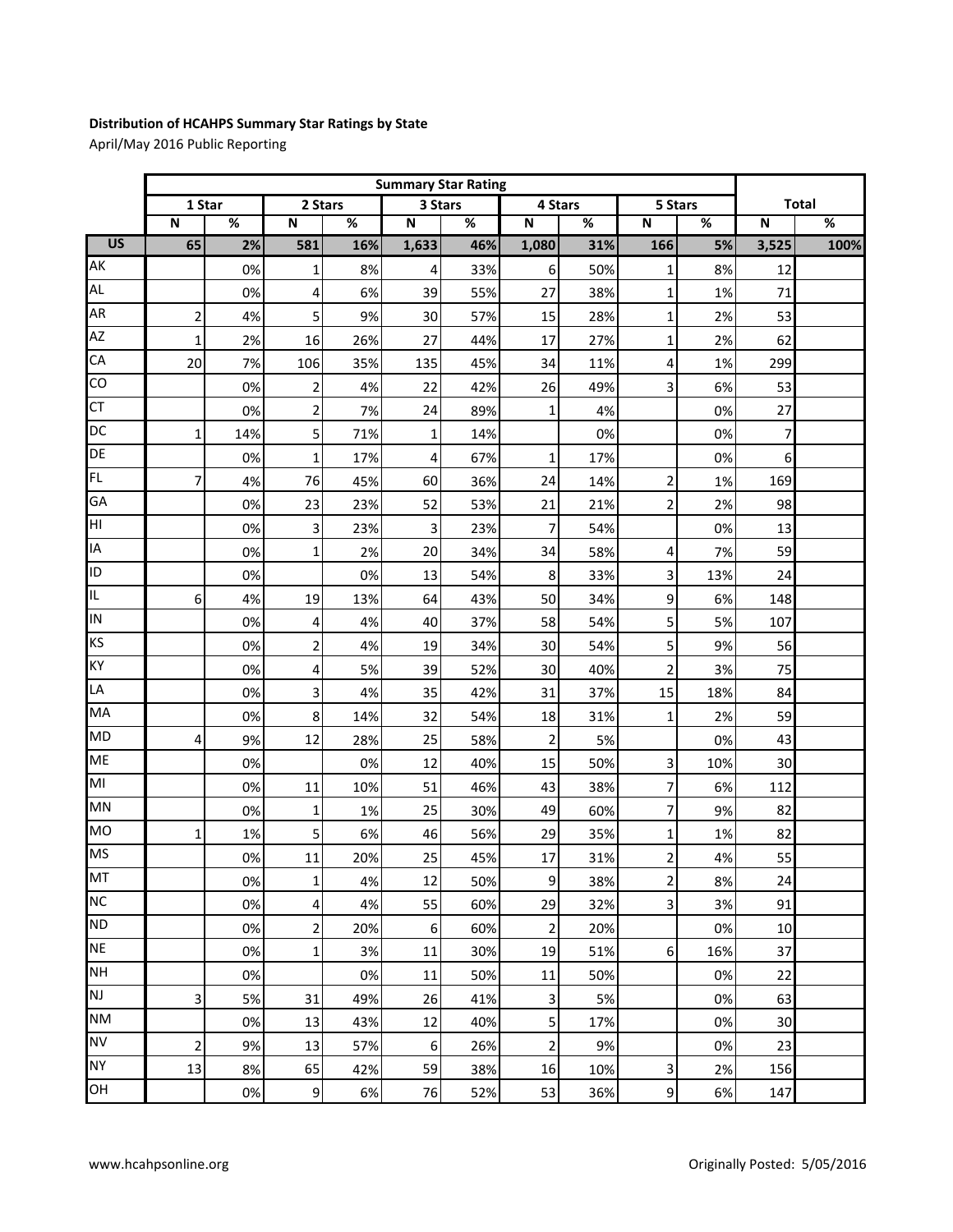## **Distribution of HCAHPS Summary Star Ratings by State**

April/May 2016 Public Reporting

|                 |                         | <b>Summary Star Rating</b> |                         |     |                         |     |                |     |                         |     |                         |                 |
|-----------------|-------------------------|----------------------------|-------------------------|-----|-------------------------|-----|----------------|-----|-------------------------|-----|-------------------------|-----------------|
|                 | 1 Star                  |                            | 2 Stars                 |     | 3 Stars                 |     | 4 Stars        |     | 5 Stars                 |     | <b>Total</b>            |                 |
|                 | $\overline{\mathsf{N}}$ | %                          | $\overline{\mathsf{N}}$ | %   | $\overline{\mathsf{N}}$ | %   | N              | %   | $\overline{\mathsf{N}}$ | %   | $\overline{\mathsf{N}}$ | $\overline{\%}$ |
| $\overline{US}$ | 65                      | 2%                         | 581                     | 16% | 1,633                   | 46% | 1,080          | 31% | 166                     | 5%  | 3,525                   | 100%            |
| AK              |                         | 0%                         | $\mathbf 1$             | 8%  | 4                       | 33% | 6              | 50% | 1                       | 8%  | 12                      |                 |
| AL              |                         | 0%                         | $\overline{4}$          | 6%  | 39                      | 55% | 27             | 38% | $\mathbf{1}$            | 1%  | 71                      |                 |
| AR              | $\overline{2}$          | 4%                         | 5                       | 9%  | 30                      | 57% | 15             | 28% | 1                       | 2%  | 53                      |                 |
| <b>AZ</b>       | 1                       | 2%                         | 16                      | 26% | 27                      | 44% | 17             | 27% | 1                       | 2%  | 62                      |                 |
| CA              | 20                      | 7%                         | 106                     | 35% | 135                     | 45% | 34             | 11% | 4                       | 1%  | 299                     |                 |
| CO              |                         | 0%                         | 2                       | 4%  | 22                      | 42% | 26             | 49% | $\overline{\mathbf{3}}$ | 6%  | 53                      |                 |
| <b>CT</b>       |                         | 0%                         | $\overline{\mathbf{c}}$ | 7%  | 24                      | 89% | $\mathbf{1}$   | 4%  |                         | 0%  | 27                      |                 |
| <b>DC</b>       | $\mathbf{1}$            | 14%                        | 5                       | 71% | $\mathbf{1}$            | 14% |                | 0%  |                         | 0%  | 7                       |                 |
| DE              |                         | 0%                         | $\mathbf{1}$            | 17% | 4                       | 67% | $\mathbf{1}$   | 17% |                         | 0%  | 6                       |                 |
| FL.             | 7                       | 4%                         | 76                      | 45% | 60                      | 36% | 24             | 14% | $\overline{\mathbf{c}}$ | 1%  | 169                     |                 |
| GA              |                         | 0%                         | 23                      | 23% | 52                      | 53% | 21             | 21% | $\overline{c}$          | 2%  | 98                      |                 |
| HI              |                         | 0%                         | $\overline{\mathbf{3}}$ | 23% | 3                       | 23% | 7              | 54% |                         | 0%  | 13                      |                 |
| IA              |                         | 0%                         | $\mathbf 1$             | 2%  | 20                      | 34% | 34             | 58% | 4                       | 7%  | 59                      |                 |
| ID              |                         | 0%                         |                         | 0%  | 13                      | 54% | 8              | 33% | 3                       | 13% | 24                      |                 |
| IL.             | $\boldsymbol{6}$        | 4%                         | 19                      | 13% | 64                      | 43% | 50             | 34% | 9                       | 6%  | 148                     |                 |
| IN              |                         | 0%                         | 4                       | 4%  | 40                      | 37% | 58             | 54% | 5                       | 5%  | 107                     |                 |
| KS              |                         | 0%                         | $\overline{2}$          | 4%  | 19                      | 34% | 30             | 54% | 5                       | 9%  | 56                      |                 |
| KY              |                         | 0%                         | 4                       | 5%  | 39                      | 52% | 30             | 40% | $\overline{\mathbf{c}}$ | 3%  | 75                      |                 |
| LA              |                         | 0%                         | $\overline{\mathbf{3}}$ | 4%  | 35                      | 42% | 31             | 37% | 15                      | 18% | 84                      |                 |
| MA              |                         | 0%                         | 8 <sup>1</sup>          | 14% | 32                      | 54% | 18             | 31% | $\mathbf{1}$            | 2%  | 59                      |                 |
| <b>MD</b>       | 4                       | 9%                         | 12                      | 28% | 25                      | 58% | $\mathbf{2}$   | 5%  |                         | 0%  | 43                      |                 |
| <b>ME</b>       |                         | 0%                         |                         | 0%  | 12                      | 40% | 15             | 50% | $\overline{\mathbf{3}}$ | 10% | 30                      |                 |
| MI              |                         | 0%                         | 11                      | 10% | 51                      | 46% | 43             | 38% | 7                       | 6%  | 112                     |                 |
| MN              |                         | 0%                         | $\mathbf 1$             | 1%  | 25                      | 30% | 49             | 60% | 7                       | 9%  | 82                      |                 |
| <b>MO</b>       | 1                       | 1%                         | 5                       | 6%  | 46                      | 56% | 29             | 35% | $\mathbf 1$             | 1%  | 82                      |                 |
| <b>MS</b>       |                         | 0%                         | $11\,$                  | 20% | 25                      | 45% | 17             | 31% | $\overline{\mathbf{c}}$ | 4%  | 55                      |                 |
| MT              |                         | 0%                         | $\mathbf 1$             | 4%  | 12                      | 50% | $\overline{9}$ | 38% | $\overline{c}$          | 8%  | 24                      |                 |
| <b>NC</b>       |                         | 0%                         | 4                       | 4%  | 55                      | 60% | 29             | 32% | 3                       | 3%  | 91                      |                 |
| <b>ND</b>       |                         | 0%                         | $\mathbf{2}$            | 20% | 6                       | 60% | $\overline{c}$ | 20% |                         | 0%  | 10                      |                 |
| <b>NE</b>       |                         | 0%                         | 1                       | 3%  | 11                      | 30% | 19             | 51% | $6\,$                   | 16% | 37                      |                 |
| <b>NH</b>       |                         | 0%                         |                         | 0%  | 11                      | 50% | 11             | 50% |                         | 0%  | 22                      |                 |
| <b>NJ</b>       | 3                       | 5%                         | 31                      | 49% | 26                      | 41% | 3              | 5%  |                         | 0%  | 63                      |                 |
| <b>NM</b>       |                         | 0%                         | 13                      | 43% | 12                      | 40% | 5 <sup>1</sup> | 17% |                         | 0%  | 30                      |                 |
| <b>NV</b>       | $\overline{2}$          | 9%                         | 13                      | 57% | $\,6\,$                 | 26% | $\overline{2}$ | 9%  |                         | 0%  | 23                      |                 |
| <b>NY</b>       | 13                      | 8%                         | 65                      | 42% | 59                      | 38% | 16             | 10% | 3                       | 2%  | 156                     |                 |
| OH              |                         | 0%                         | $\overline{9}$          | 6%  | 76                      | 52% | 53             | 36% | 9                       | 6%  | 147                     |                 |